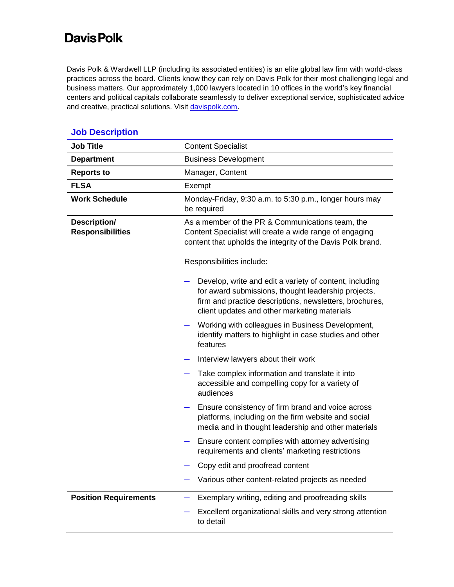## **Davis Polk**

Davis Polk & Wardwell LLP (including its associated entities) is an elite global law firm with world-class practices across the board. Clients know they can rely on Davis Polk for their most challenging legal and business matters. Our approximately 1,000 lawyers located in 10 offices in the world's key financial centers and political capitals collaborate seamlessly to deliver exceptional service, sophisticated advice and creative, practical solutions. Visit [davispolk.com.](https://www.davispolk.com/)

| <b>Job Title</b>                        | <b>Content Specialist</b>                                                                                                                                                                                                 |
|-----------------------------------------|---------------------------------------------------------------------------------------------------------------------------------------------------------------------------------------------------------------------------|
| <b>Department</b>                       | <b>Business Development</b>                                                                                                                                                                                               |
| <b>Reports to</b>                       | Manager, Content                                                                                                                                                                                                          |
| <b>FLSA</b>                             | Exempt                                                                                                                                                                                                                    |
| <b>Work Schedule</b>                    | Monday-Friday, 9:30 a.m. to 5:30 p.m., longer hours may<br>be required                                                                                                                                                    |
| Description/<br><b>Responsibilities</b> | As a member of the PR & Communications team, the<br>Content Specialist will create a wide range of engaging<br>content that upholds the integrity of the Davis Polk brand.                                                |
|                                         | Responsibilities include:                                                                                                                                                                                                 |
|                                         | Develop, write and edit a variety of content, including<br>for award submissions, thought leadership projects,<br>firm and practice descriptions, newsletters, brochures,<br>client updates and other marketing materials |
|                                         | Working with colleagues in Business Development,<br>identify matters to highlight in case studies and other<br>features                                                                                                   |
|                                         | Interview lawyers about their work                                                                                                                                                                                        |
|                                         | Take complex information and translate it into<br>accessible and compelling copy for a variety of<br>audiences                                                                                                            |
|                                         | Ensure consistency of firm brand and voice across<br>platforms, including on the firm website and social<br>media and in thought leadership and other materials                                                           |
|                                         | Ensure content complies with attorney advertising<br>requirements and clients' marketing restrictions                                                                                                                     |
|                                         | Copy edit and proofread content                                                                                                                                                                                           |
|                                         | Various other content-related projects as needed                                                                                                                                                                          |
| <b>Position Requirements</b>            | Exemplary writing, editing and proofreading skills                                                                                                                                                                        |
|                                         | Excellent organizational skills and very strong attention<br>to detail                                                                                                                                                    |

## **Job Description**